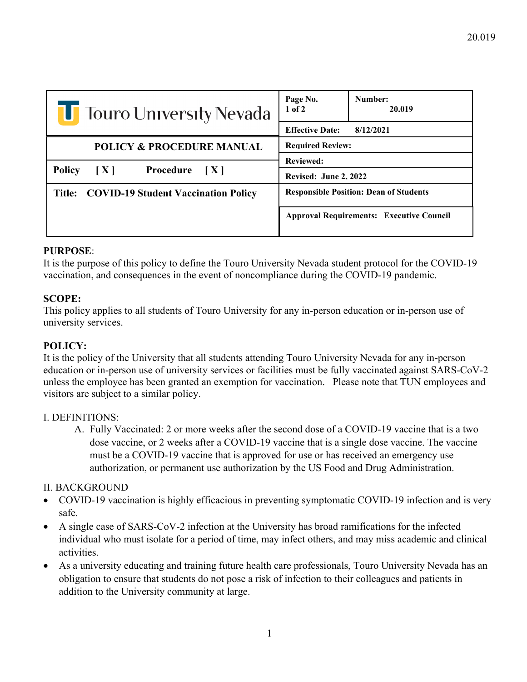| <b>Theory Occupy</b> Sevada                             | Number:<br>Page No.<br>$1$ of $2$<br>20.019     |
|---------------------------------------------------------|-------------------------------------------------|
|                                                         | <b>Effective Date:</b><br>8/12/2021             |
| <b>POLICY &amp; PROCEDURE MANUAL</b>                    | <b>Required Review:</b>                         |
| <b>Policy</b><br>$\mathbf{X}$<br><b>Procedure</b> $[X]$ | <b>Reviewed:</b>                                |
|                                                         | <b>Revised: June 2, 2022</b>                    |
| Title: COVID-19 Student Vaccination Policy              | <b>Responsible Position: Dean of Students</b>   |
|                                                         | <b>Approval Requirements: Executive Council</b> |

# **PURPOSE**:

It is the purpose of this policy to define the Touro University Nevada student protocol for the COVID-19 vaccination, and consequences in the event of noncompliance during the COVID-19 pandemic.

# **SCOPE:**

This policy applies to all students of Touro University for any in-person education or in-person use of university services.

# **POLICY:**

It is the policy of the University that all students attending Touro University Nevada for any in-person education or in-person use of university services or facilities must be fully vaccinated against SARS-CoV-2 unless the employee has been granted an exemption for vaccination. Please note that TUN employees and visitors are subject to a similar policy.

# I. DEFINITIONS:

A. Fully Vaccinated: 2 or more weeks after the second dose of a COVID-19 vaccine that is a two dose vaccine, or 2 weeks after a COVID-19 vaccine that is a single dose vaccine. The vaccine must be a COVID-19 vaccine that is approved for use or has received an emergency use authorization, or permanent use authorization by the US Food and Drug Administration.

# II. BACKGROUND

- COVID-19 vaccination is highly efficacious in preventing symptomatic COVID-19 infection and is very safe.
- A single case of SARS-CoV-2 infection at the University has broad ramifications for the infected individual who must isolate for a period of time, may infect others, and may miss academic and clinical activities.
- As a university educating and training future health care professionals, Touro University Nevada has an obligation to ensure that students do not pose a risk of infection to their colleagues and patients in addition to the University community at large.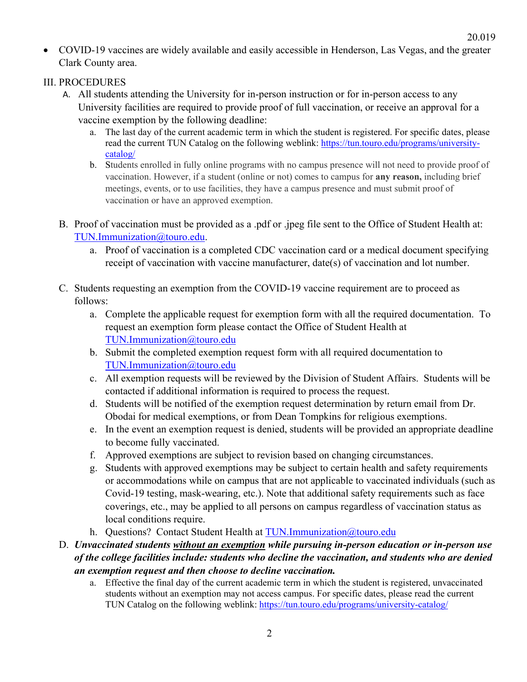• COVID-19 vaccines are widely available and easily accessible in Henderson, Las Vegas, and the greater Clark County area.

## III. PROCEDURES

- A. All students attending the University for in-person instruction or for in-person access to any University facilities are required to provide proof of full vaccination, or receive an approval for a vaccine exemption by the following deadline:
	- a. The last day of the current academic term in which the student is registered. For specific dates, please read the current TUN Catalog on the following weblink: [https://tun.touro.edu/programs/university](https://tun.touro.edu/programs/university-catalog/)[catalog/](https://tun.touro.edu/programs/university-catalog/)
	- b. Students enrolled in fully online programs with no campus presence will not need to provide proof of vaccination. However, if a student (online or not) comes to campus for **any reason,** including brief meetings, events, or to use facilities, they have a campus presence and must submit proof of vaccination or have an approved exemption.
- B. Proof of vaccination must be provided as a .pdf or .jpeg file sent to the Office of Student Health at: [TUN.Immunization@touro.edu.](mailto:TUN.Immunization@touro.edu)
	- a. Proof of vaccination is a completed CDC vaccination card or a medical document specifying receipt of vaccination with vaccine manufacturer, date(s) of vaccination and lot number.
- C. Students requesting an exemption from the COVID-19 vaccine requirement are to proceed as follows:
	- a. Complete the applicable request for exemption form with all the required documentation. To request an exemption form please contact the Office of Student Health at [TUN.Immunization@touro.edu](mailto:TUN.Immunization@touro.edu)
	- b. Submit the completed exemption request form with all required documentation to [TUN.Immunization@touro.edu](mailto:TUN.Immunization@touro.edu)
	- c. All exemption requests will be reviewed by the Division of Student Affairs. Students will be contacted if additional information is required to process the request.
	- d. Students will be notified of the exemption request determination by return email from Dr. Obodai for medical exemptions, or from Dean Tompkins for religious exemptions.
	- e. In the event an exemption request is denied, students will be provided an appropriate deadline to become fully vaccinated.
	- f. Approved exemptions are subject to revision based on changing circumstances.
	- g. Students with approved exemptions may be subject to certain health and safety requirements or accommodations while on campus that are not applicable to vaccinated individuals (such as Covid-19 testing, mask-wearing, etc.). Note that additional safety requirements such as face coverings, etc., may be applied to all persons on campus regardless of vaccination status as local conditions require.
	- h. Questions? Contact Student Health at [TUN.Immunization@touro.edu](mailto:TUN.Immunization@touro.edu)

# D. *Unvaccinated students without an exemption while pursuing in-person education or in-person use of the college facilities include: students who decline the vaccination, and students who are denied an exemption request and then choose to decline vaccination.*

a. Effective the final day of the current academic term in which the student is registered, unvaccinated students without an exemption may not access campus. For specific dates, please read the current TUN Catalog on the following weblink:<https://tun.touro.edu/programs/university-catalog/>